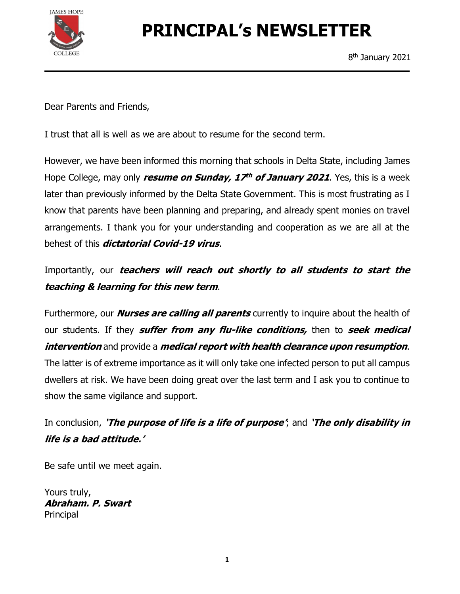

# PRINCIPAL's NEWSLETTER

Dear Parents and Friends,

I trust that all is well as we are about to resume for the second term.

However, we have been informed this morning that schools in Delta State, including James Hope College, may only *resume on Sunday, 17<sup>th</sup> of January 2021*. Yes, this is a week later than previously informed by the Delta State Government. This is most frustrating as I know that parents have been planning and preparing, and already spent monies on travel arrangements. I thank you for your understanding and cooperation as we are all at the

behest of this *dictatorial Covid-19 virus*.<br>Importantly, our *teachers will reach out shortly to all students to start the* 

teaching & learning for this new term.<br>Furthermore, our *Nurses are calling all parents* currently to inquire about the health of our students. If they **suffer from any flu-like conditions**, then to seek medical intervention and provide a medical report with health clearance upon resumption.<br>The latter is of extreme importance as it will only take one infected person to put all campus dwellers at risk. We have been doing great over the last term and I ask you to continue to show the same vigilance and support.

In conclusion, 'The purpose of life is a life of purpose', and 'The only disability in life is a bad attitude.'

Be safe until we meet again.

Yours truly, Abraham. P. Swart **Principal**